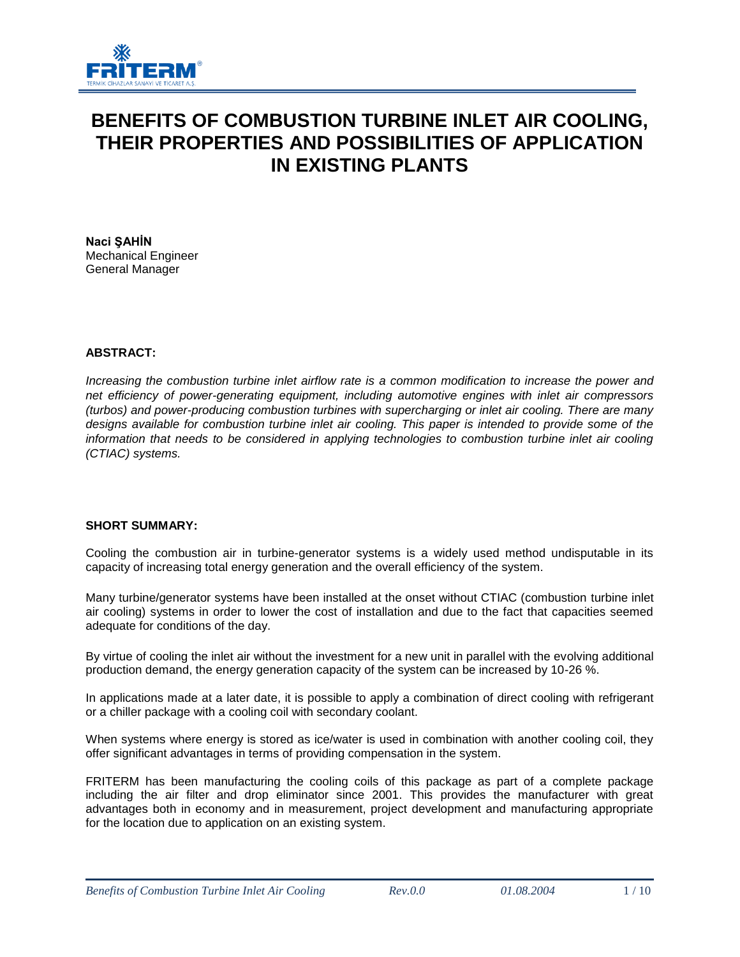

# **BENEFITS OF COMBUSTION TURBINE INLET AIR COOLING, THEIR PROPERTIES AND POSSIBILITIES OF APPLICATION IN EXISTING PLANTS**

**Naci ŞAHİN** Mechanical Engineer General Manager

## **ABSTRACT:**

*Increasing the combustion turbine inlet airflow rate is a common modification to increase the power and net efficiency of power-generating equipment, including automotive engines with inlet air compressors (turbos) and power-producing combustion turbines with supercharging or inlet air cooling. There are many designs available for combustion turbine inlet air cooling. This paper is intended to provide some of the information that needs to be considered in applying technologies to combustion turbine inlet air cooling (CTIAC) systems.*

## **SHORT SUMMARY:**

Cooling the combustion air in turbine-generator systems is a widely used method undisputable in its capacity of increasing total energy generation and the overall efficiency of the system.

Many turbine/generator systems have been installed at the onset without CTIAC (combustion turbine inlet air cooling) systems in order to lower the cost of installation and due to the fact that capacities seemed adequate for conditions of the day.

By virtue of cooling the inlet air without the investment for a new unit in parallel with the evolving additional production demand, the energy generation capacity of the system can be increased by 10-26 %.

In applications made at a later date, it is possible to apply a combination of direct cooling with refrigerant or a chiller package with a cooling coil with secondary coolant.

When systems where energy is stored as ice/water is used in combination with another cooling coil, they offer significant advantages in terms of providing compensation in the system.

FRITERM has been manufacturing the cooling coils of this package as part of a complete package including the air filter and drop eliminator since 2001. This provides the manufacturer with great advantages both in economy and in measurement, project development and manufacturing appropriate for the location due to application on an existing system.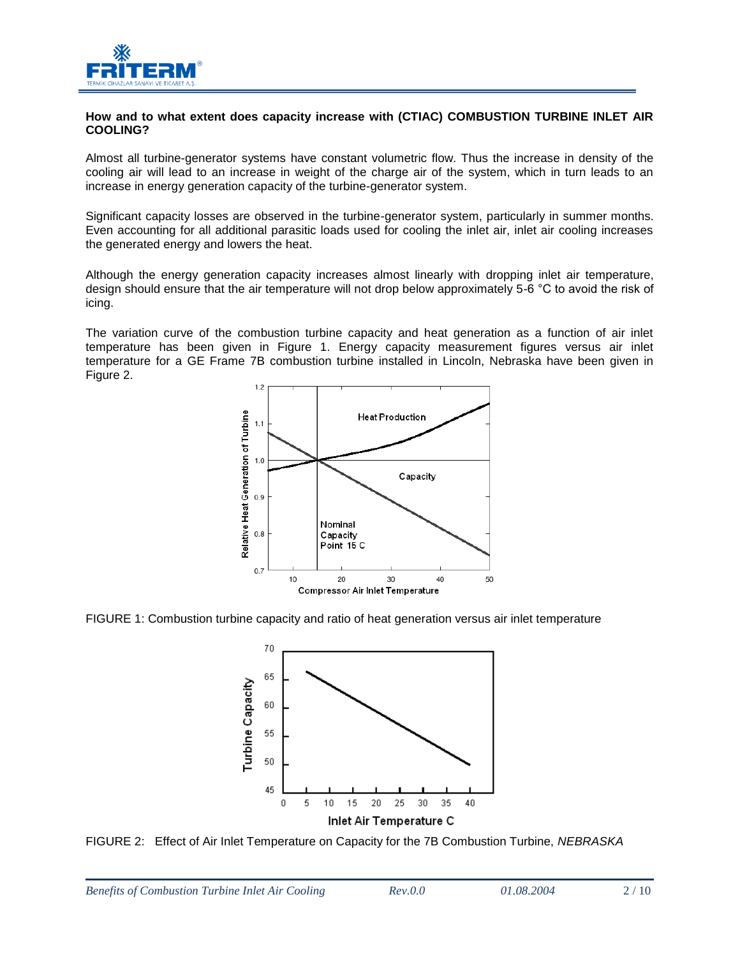

#### **How and to what extent does capacity increase with (CTIAC) COMBUSTION TURBINE INLET AIR COOLING?**

Almost all turbine-generator systems have constant volumetric flow. Thus the increase in density of the cooling air will lead to an increase in weight of the charge air of the system, which in turn leads to an increase in energy generation capacity of the turbine-generator system.

Significant capacity losses are observed in the turbine-generator system, particularly in summer months. Even accounting for all additional parasitic loads used for cooling the inlet air, inlet air cooling increases the generated energy and lowers the heat.

Although the energy generation capacity increases almost linearly with dropping inlet air temperature, design should ensure that the air temperature will not drop below approximately 5-6 °C to avoid the risk of icing.

The variation curve of the combustion turbine capacity and heat generation as a function of air inlet temperature has been given in Figure 1. Energy capacity measurement figures versus air inlet temperature for a GE Frame 7B combustion turbine installed in Lincoln, Nebraska have been given in Figure 2.



FIGURE 1: Combustion turbine capacity and ratio of heat generation versus air inlet temperature



FIGURE 2: Effect of Air Inlet Temperature on Capacity for the 7B Combustion Turbine, *NEBRASKA*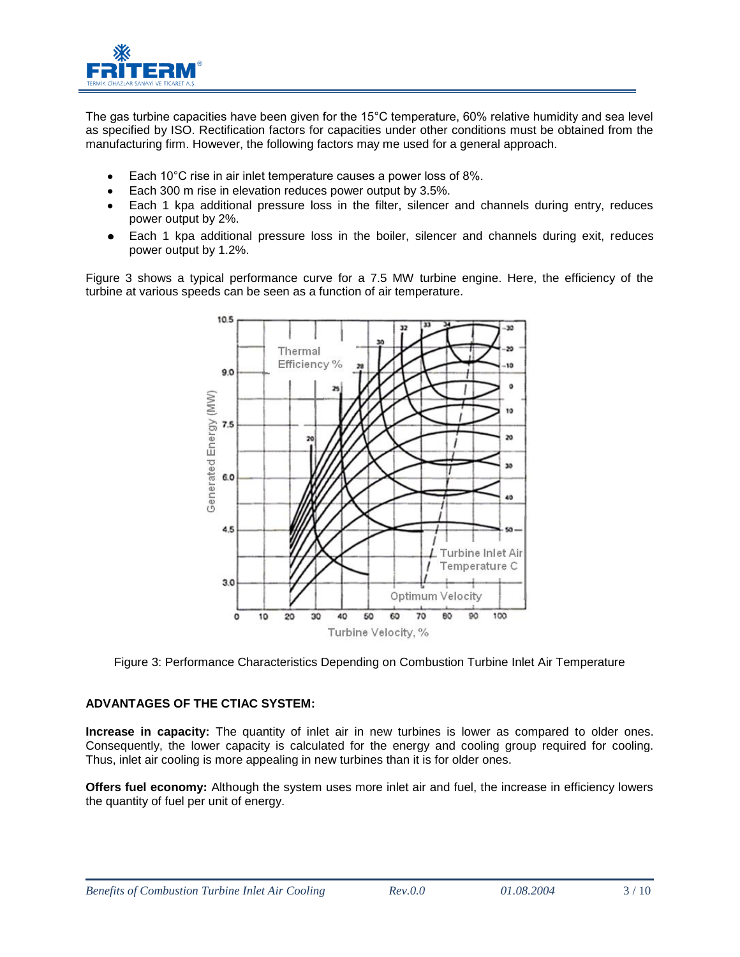

The gas turbine capacities have been given for the 15°C temperature, 60% relative humidity and sea level as specified by ISO. Rectification factors for capacities under other conditions must be obtained from the manufacturing firm. However, the following factors may me used for a general approach.

- Each 10°C rise in air inlet temperature causes a power loss of 8%.  $\bullet$
- Each 300 m rise in elevation reduces power output by 3.5%.
- Each 1 kpa additional pressure loss in the filter, silencer and channels during entry, reduces  $\bullet$ power output by 2%.
- Each 1 kpa additional pressure loss in the boiler, silencer and channels during exit, reduces power output by 1.2%.

Figure 3 shows a typical performance curve for a 7.5 MW turbine engine. Here, the efficiency of the turbine at various speeds can be seen as a function of air temperature.



Figure 3: Performance Characteristics Depending on Combustion Turbine Inlet Air Temperature

# **ADVANTAGES OF THE CTIAC SYSTEM:**

**Increase in capacity:** The quantity of inlet air in new turbines is lower as compared to older ones. Consequently, the lower capacity is calculated for the energy and cooling group required for cooling. Thus, inlet air cooling is more appealing in new turbines than it is for older ones.

**Offers fuel economy:** Although the system uses more inlet air and fuel, the increase in efficiency lowers the quantity of fuel per unit of energy.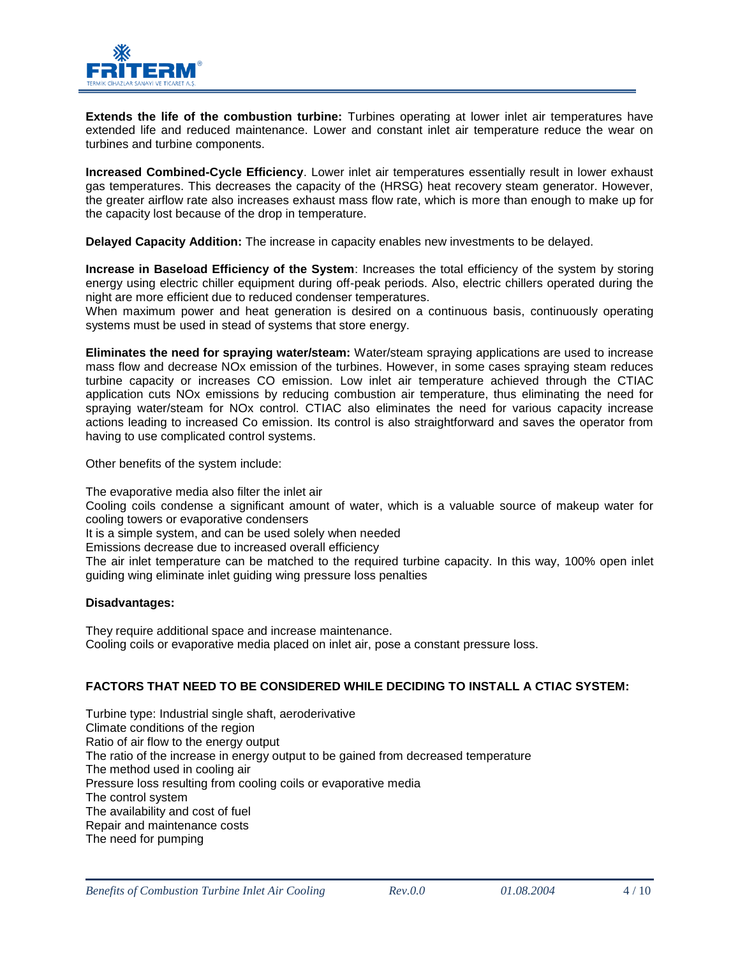

**Extends the life of the combustion turbine:** Turbines operating at lower inlet air temperatures have extended life and reduced maintenance. Lower and constant inlet air temperature reduce the wear on turbines and turbine components.

**Increased Combined-Cycle Efficiency**. Lower inlet air temperatures essentially result in lower exhaust gas temperatures. This decreases the capacity of the (HRSG) heat recovery steam generator. However, the greater airflow rate also increases exhaust mass flow rate, which is more than enough to make up for the capacity lost because of the drop in temperature.

**Delayed Capacity Addition:** The increase in capacity enables new investments to be delayed.

**Increase in Baseload Efficiency of the System**: Increases the total efficiency of the system by storing energy using electric chiller equipment during off-peak periods. Also, electric chillers operated during the night are more efficient due to reduced condenser temperatures.

When maximum power and heat generation is desired on a continuous basis, continuously operating systems must be used in stead of systems that store energy.

**Eliminates the need for spraying water/steam:** Water/steam spraying applications are used to increase mass flow and decrease NOx emission of the turbines. However, in some cases spraying steam reduces turbine capacity or increases CO emission. Low inlet air temperature achieved through the CTIAC application cuts NOx emissions by reducing combustion air temperature, thus eliminating the need for spraying water/steam for NOx control. CTIAC also eliminates the need for various capacity increase actions leading to increased Co emission. Its control is also straightforward and saves the operator from having to use complicated control systems.

Other benefits of the system include:

The evaporative media also filter the inlet air Cooling coils condense a significant amount of water, which is a valuable source of makeup water for cooling towers or evaporative condensers It is a simple system, and can be used solely when needed Emissions decrease due to increased overall efficiency The air inlet temperature can be matched to the required turbine capacity. In this way, 100% open inlet guiding wing eliminate inlet guiding wing pressure loss penalties

## **Disadvantages:**

They require additional space and increase maintenance. Cooling coils or evaporative media placed on inlet air, pose a constant pressure loss.

## **FACTORS THAT NEED TO BE CONSIDERED WHILE DECIDING TO INSTALL A CTIAC SYSTEM:**

Turbine type: Industrial single shaft, aeroderivative Climate conditions of the region Ratio of air flow to the energy output The ratio of the increase in energy output to be gained from decreased temperature The method used in cooling air Pressure loss resulting from cooling coils or evaporative media The control system The availability and cost of fuel Repair and maintenance costs The need for pumping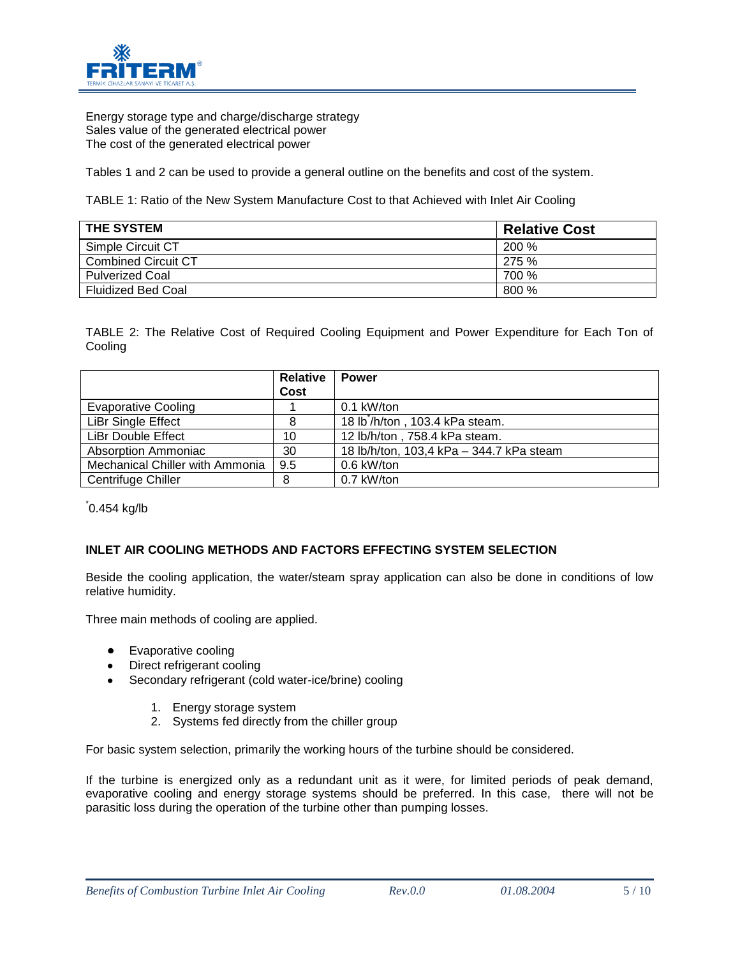

Energy storage type and charge/discharge strategy Sales value of the generated electrical power The cost of the generated electrical power

Tables 1 and 2 can be used to provide a general outline on the benefits and cost of the system.

TABLE 1: Ratio of the New System Manufacture Cost to that Achieved with Inlet Air Cooling

| <b>THE SYSTEM</b>         | <b>Relative Cost</b> |
|---------------------------|----------------------|
| Simple Circuit CT         | <b>200 %</b>         |
| Combined Circuit CT       | 275 %                |
| <b>Pulverized Coal</b>    | 700 %                |
| <b>Fluidized Bed Coal</b> | 800 %                |

TABLE 2: The Relative Cost of Required Cooling Equipment and Power Expenditure for Each Ton of Cooling

|                                 | <b>Relative</b> | <b>Power</b>                                |
|---------------------------------|-----------------|---------------------------------------------|
|                                 | Cost            |                                             |
| Evaporative Cooling             |                 | $0.1$ kW/ton                                |
| LiBr Single Effect              | 8               | 18 lb <sup>*</sup> /h/ton, 103.4 kPa steam. |
| LiBr Double Effect              | 10              | 12 lb/h/ton, 758.4 kPa steam.               |
| Absorption Ammoniac             | 30              | 18 lb/h/ton, 103,4 kPa - 344.7 kPa steam    |
| Mechanical Chiller with Ammonia | 9.5             | 0.6 kW/ton                                  |
| Centrifuge Chiller              | 8               | 0.7 kW/ton                                  |

\* 0.454 kg/lb

## **INLET AIR COOLING METHODS AND FACTORS EFFECTING SYSTEM SELECTION**

Beside the cooling application, the water/steam spray application can also be done in conditions of low relative humidity.

Three main methods of cooling are applied.

- Evaporative cooling
- Direct refrigerant cooling
- Secondary refrigerant (cold water-ice/brine) cooling
	- 1. Energy storage system
	- 2. Systems fed directly from the chiller group

For basic system selection, primarily the working hours of the turbine should be considered.

If the turbine is energized only as a redundant unit as it were, for limited periods of peak demand, evaporative cooling and energy storage systems should be preferred. In this case, there will not be parasitic loss during the operation of the turbine other than pumping losses.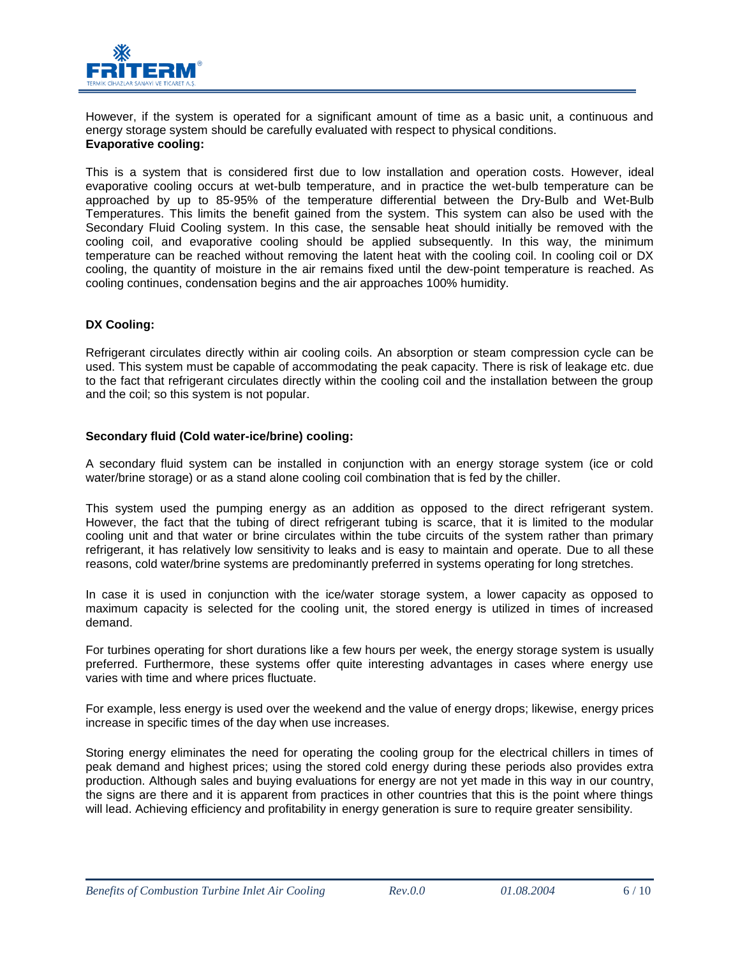

However, if the system is operated for a significant amount of time as a basic unit, a continuous and energy storage system should be carefully evaluated with respect to physical conditions. **Evaporative cooling:**

This is a system that is considered first due to low installation and operation costs. However, ideal evaporative cooling occurs at wet-bulb temperature, and in practice the wet-bulb temperature can be approached by up to 85-95% of the temperature differential between the Dry-Bulb and Wet-Bulb Temperatures. This limits the benefit gained from the system. This system can also be used with the Secondary Fluid Cooling system. In this case, the sensable heat should initially be removed with the cooling coil, and evaporative cooling should be applied subsequently. In this way, the minimum temperature can be reached without removing the latent heat with the cooling coil. In cooling coil or DX cooling, the quantity of moisture in the air remains fixed until the dew-point temperature is reached. As cooling continues, condensation begins and the air approaches 100% humidity.

## **DX Cooling:**

Refrigerant circulates directly within air cooling coils. An absorption or steam compression cycle can be used. This system must be capable of accommodating the peak capacity. There is risk of leakage etc. due to the fact that refrigerant circulates directly within the cooling coil and the installation between the group and the coil; so this system is not popular.

## **Secondary fluid (Cold water-ice/brine) cooling:**

A secondary fluid system can be installed in conjunction with an energy storage system (ice or cold water/brine storage) or as a stand alone cooling coil combination that is fed by the chiller.

This system used the pumping energy as an addition as opposed to the direct refrigerant system. However, the fact that the tubing of direct refrigerant tubing is scarce, that it is limited to the modular cooling unit and that water or brine circulates within the tube circuits of the system rather than primary refrigerant, it has relatively low sensitivity to leaks and is easy to maintain and operate. Due to all these reasons, cold water/brine systems are predominantly preferred in systems operating for long stretches.

In case it is used in conjunction with the ice/water storage system, a lower capacity as opposed to maximum capacity is selected for the cooling unit, the stored energy is utilized in times of increased demand.

For turbines operating for short durations like a few hours per week, the energy storage system is usually preferred. Furthermore, these systems offer quite interesting advantages in cases where energy use varies with time and where prices fluctuate.

For example, less energy is used over the weekend and the value of energy drops; likewise, energy prices increase in specific times of the day when use increases.

Storing energy eliminates the need for operating the cooling group for the electrical chillers in times of peak demand and highest prices; using the stored cold energy during these periods also provides extra production. Although sales and buying evaluations for energy are not yet made in this way in our country, the signs are there and it is apparent from practices in other countries that this is the point where things will lead. Achieving efficiency and profitability in energy generation is sure to require greater sensibility.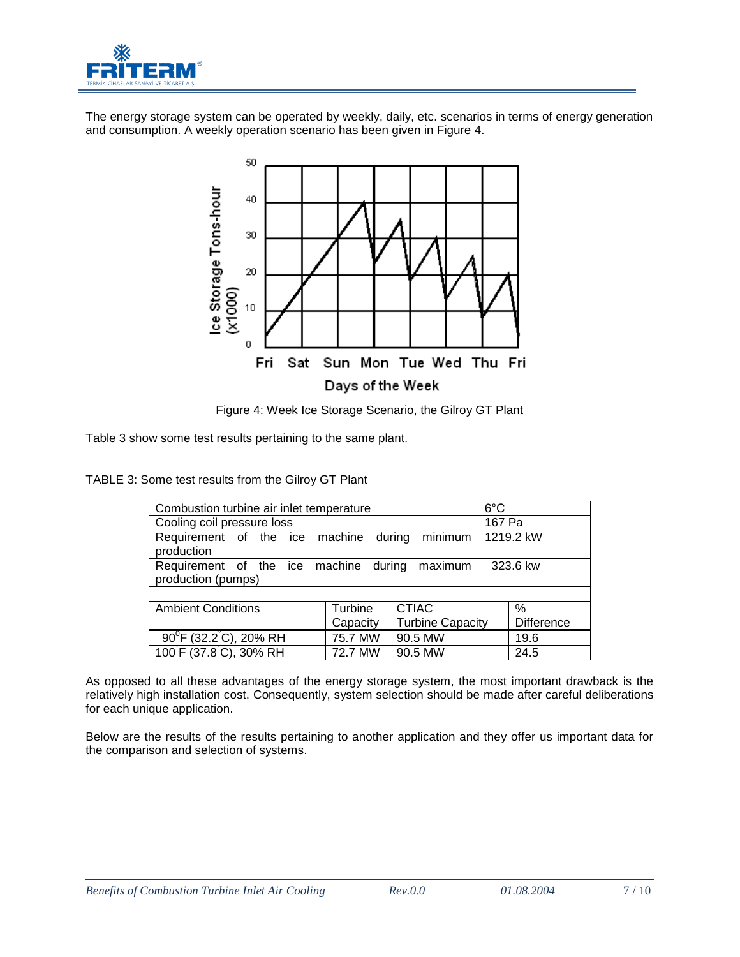

The energy storage system can be operated by weekly, daily, etc. scenarios in terms of energy generation and consumption. A weekly operation scenario has been given in Figure 4.



Figure 4: Week Ice Storage Scenario, the Gilroy GT Plant

Table 3 show some test results pertaining to the same plant.

TABLE 3: Some test results from the Gilroy GT Plant

| Combustion turbine air inlet temperature                    | $6^{\circ}$ C |                         |  |                   |  |  |  |  |
|-------------------------------------------------------------|---------------|-------------------------|--|-------------------|--|--|--|--|
| Cooling coil pressure loss                                  | 167 Pa        |                         |  |                   |  |  |  |  |
| Requirement of the ice machine<br>production                |               | minimum<br>during       |  | 1219.2 kW         |  |  |  |  |
| Requirement of the ice machine during<br>production (pumps) |               | 323.6 kw                |  |                   |  |  |  |  |
|                                                             |               |                         |  |                   |  |  |  |  |
| <b>Ambient Conditions</b>                                   | Turbine       | <b>CTIAC</b>            |  | %                 |  |  |  |  |
|                                                             | Capacity      | <b>Turbine Capacity</b> |  | <b>Difference</b> |  |  |  |  |
| $90^{\circ}$ F (32.2 °C), 20% RH                            | 75.7 MW       | 90.5 MW                 |  | 19.6              |  |  |  |  |
| 100 F (37.8 C), 30% RH                                      | 72.7 MW       | 90.5 MW                 |  | 24.5              |  |  |  |  |

As opposed to all these advantages of the energy storage system, the most important drawback is the relatively high installation cost. Consequently, system selection should be made after careful deliberations for each unique application.

Below are the results of the results pertaining to another application and they offer us important data for the comparison and selection of systems.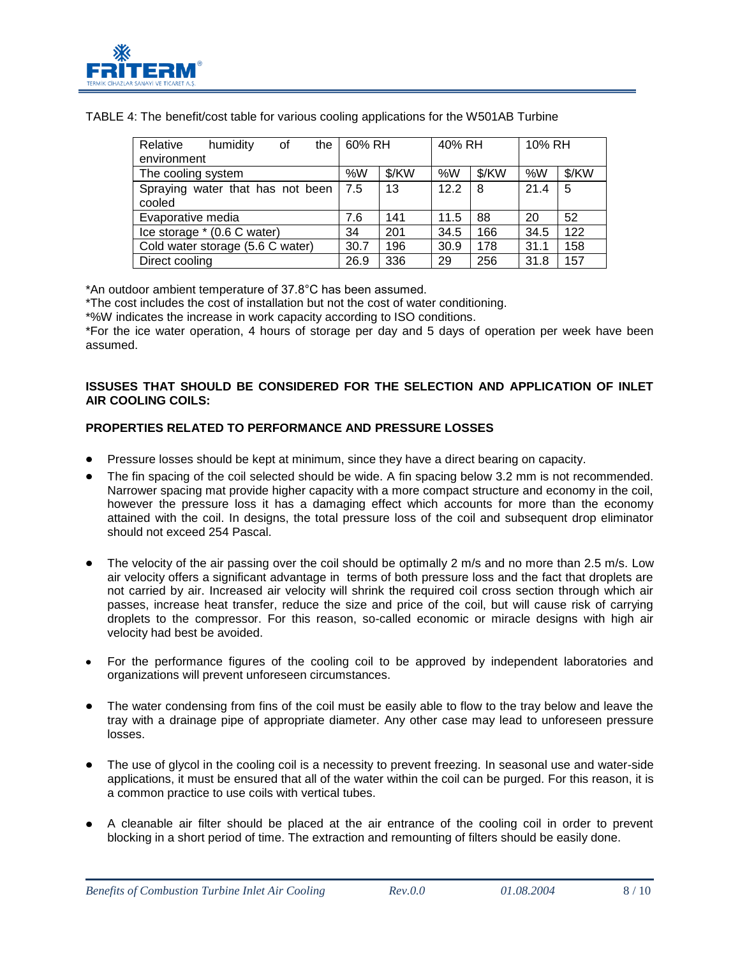

| Relative<br>humidity<br>the<br>οf          | 60% RH |       | 40% RH |       | 10% RH |       |
|--------------------------------------------|--------|-------|--------|-------|--------|-------|
| environment                                |        |       |        |       |        |       |
| The cooling system                         | %W     | \$/KW | %W     | \$/KW | %W     | \$/KW |
| Spraying water that has not been<br>cooled | 7.5    | 13    | 12.2   | -8    | 21.4   | -5    |
| Evaporative media                          | 7.6    | 141   | 11.5   | 88    | 20     | 52    |
| Ice storage * (0.6 C water)                | 34     | 201   | 34.5   | 166   | 34.5   | 122   |
| Cold water storage (5.6 C water)           | 30.7   | 196   | 30.9   | 178   | 31.1   | 158   |
| Direct cooling                             | 26.9   | 336   | 29     | 256   | 31.8   | 157   |

TABLE 4: The benefit/cost table for various cooling applications for the W501AB Turbine

\*An outdoor ambient temperature of 37.8°C has been assumed.

\*The cost includes the cost of installation but not the cost of water conditioning.

\*%W indicates the increase in work capacity according to ISO conditions.

\*For the ice water operation, 4 hours of storage per day and 5 days of operation per week have been assumed.

#### **ISSUSES THAT SHOULD BE CONSIDERED FOR THE SELECTION AND APPLICATION OF INLET AIR COOLING COILS:**

## **PROPERTIES RELATED TO PERFORMANCE AND PRESSURE LOSSES**

- Pressure losses should be kept at minimum, since they have a direct bearing on capacity.
- The fin spacing of the coil selected should be wide. A fin spacing below 3.2 mm is not recommended. Narrower spacing mat provide higher capacity with a more compact structure and economy in the coil, however the pressure loss it has a damaging effect which accounts for more than the economy attained with the coil. In designs, the total pressure loss of the coil and subsequent drop eliminator should not exceed 254 Pascal.
- The velocity of the air passing over the coil should be optimally 2 m/s and no more than 2.5 m/s. Low air velocity offers a significant advantage in terms of both pressure loss and the fact that droplets are not carried by air. Increased air velocity will shrink the required coil cross section through which air passes, increase heat transfer, reduce the size and price of the coil, but will cause risk of carrying droplets to the compressor. For this reason, so-called economic or miracle designs with high air velocity had best be avoided.
- For the performance figures of the cooling coil to be approved by independent laboratories and organizations will prevent unforeseen circumstances.
- The water condensing from fins of the coil must be easily able to flow to the tray below and leave the tray with a drainage pipe of appropriate diameter. Any other case may lead to unforeseen pressure losses.
- The use of glycol in the cooling coil is a necessity to prevent freezing. In seasonal use and water-side applications, it must be ensured that all of the water within the coil can be purged. For this reason, it is a common practice to use coils with vertical tubes.
- A cleanable air filter should be placed at the air entrance of the cooling coil in order to prevent blocking in a short period of time. The extraction and remounting of filters should be easily done.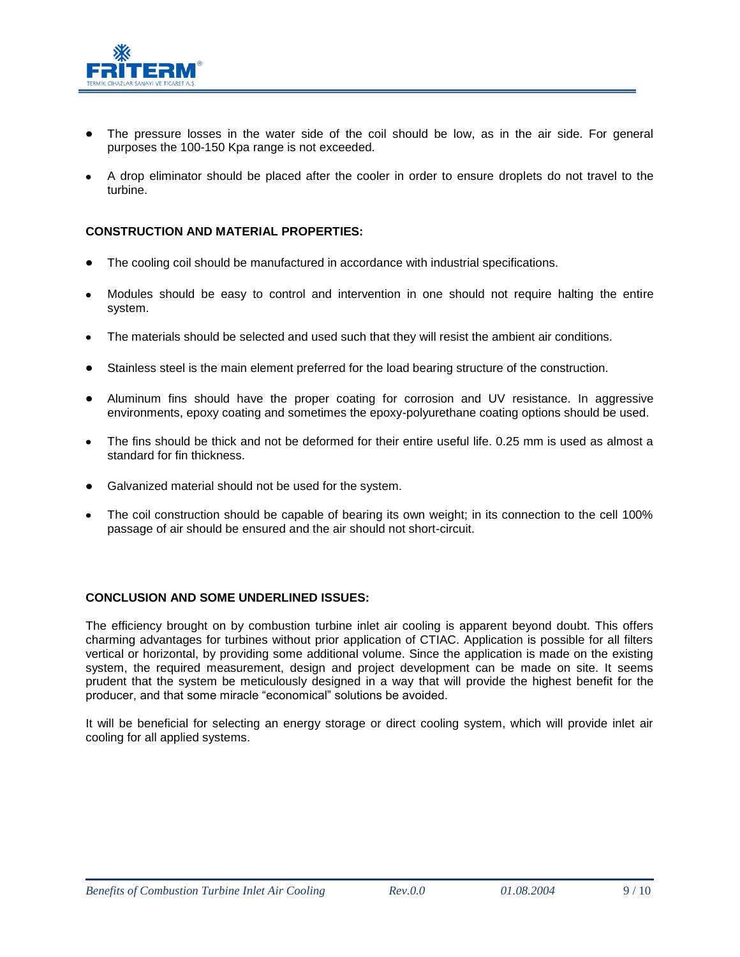

- The pressure losses in the water side of the coil should be low, as in the air side. For general purposes the 100-150 Kpa range is not exceeded.
- A drop eliminator should be placed after the cooler in order to ensure droplets do not travel to the turbine.

#### **CONSTRUCTION AND MATERIAL PROPERTIES:**

- The cooling coil should be manufactured in accordance with industrial specifications.
- Modules should be easy to control and intervention in one should not require halting the entire system.
- The materials should be selected and used such that they will resist the ambient air conditions.
- Stainless steel is the main element preferred for the load bearing structure of the construction.
- Aluminum fins should have the proper coating for corrosion and UV resistance. In aggressive environments, epoxy coating and sometimes the epoxy-polyurethane coating options should be used.
- The fins should be thick and not be deformed for their entire useful life. 0.25 mm is used as almost a  $\bullet$ standard for fin thickness.
- Galvanized material should not be used for the system.
- The coil construction should be capable of bearing its own weight; in its connection to the cell 100% passage of air should be ensured and the air should not short-circuit.

#### **CONCLUSION AND SOME UNDERLINED ISSUES:**

The efficiency brought on by combustion turbine inlet air cooling is apparent beyond doubt. This offers charming advantages for turbines without prior application of CTIAC. Application is possible for all filters vertical or horizontal, by providing some additional volume. Since the application is made on the existing system, the required measurement, design and project development can be made on site. It seems prudent that the system be meticulously designed in a way that will provide the highest benefit for the producer, and that some miracle "economical" solutions be avoided.

It will be beneficial for selecting an energy storage or direct cooling system, which will provide inlet air cooling for all applied systems.